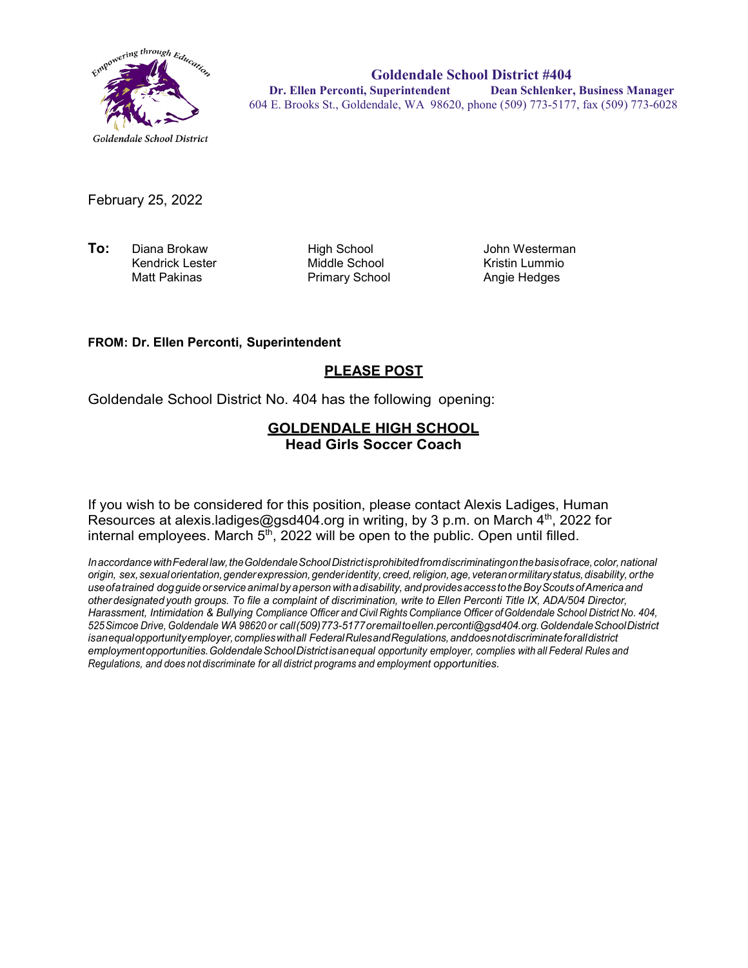

**Goldendale School District #404 Dr. Ellen Perconti, Superintendent Dean Schlenker, Business Manager** 604 E. Brooks St., Goldendale, WA 98620, phone (509) 773-5177, fax (509) 773-6028

February 25, 2022

**To:** Diana Brokaw High School John Westerman Kendrick Lester Middle School Kristin Lummio

Primary School

#### **FROM: Dr. Ellen Perconti, Superintendent**

### **PLEASE POST**

Goldendale School District No. 404 has the following opening:

### **GOLDENDALE HIGH SCHOOL Head Girls Soccer Coach**

If you wish to be considered for this position, please contact Alexis Ladiges, Human Resources at alexis.ladiges@gsd404.org in writing, by 3 p.m. on March  $4<sup>th</sup>$ , 2022 for internal employees. March  $5<sup>th</sup>$ , 2022 will be open to the public. Open until filled.

*InaccordancewithFederal law,theGoldendaleSchoolDistrictisprohibitedfromdiscriminatingonthebasisofrace,color,national origin, sex,sexualorientation,genderexpression,genderidentity, creed,religion,age, veteranormilitarystatus,disability, orthe useofatrained dogguide orservice animal by aperson withadisability, andprovidesaccess totheBoyScouts ofAmerica and other designated youth groups. To file a complaint of discrimination, write to Ellen Perconti Title IX, ADA/504 Director, Harassment, Intimidation & Bullying Compliance Officer and Civil Rights Compliance Officer ofGoldendale School District No. 404, 525Simcoe Drive, Goldendale WA 98620 or call(509)773-5177oremailt[oellen.perconti@gsd404.org.G](mailto:ellen.perconti@gsd404.org)oldendaleSchoolDistrict isanequalopportunityemployer,complieswithall FederalRulesandRegulations,anddoesnotdiscriminateforalldistrict employmentopportunities.GoldendaleSchoolDistrictisanequal opportunity employer, complies with all Federal Rules and Regulations, and does not discriminate for all district programs and employment opportunities.*